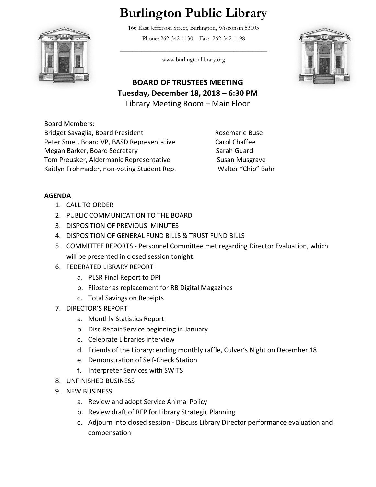## **Burlington Public Library**

166 East Jefferson Street, Burlington, Wisconsin 53105 Phone: 262-342-1130 Fax: 262-342-1198



 $\overline{\phantom{a}}$  , and the set of the set of the set of the set of the set of the set of the set of the set of the set of the set of the set of the set of the set of the set of the set of the set of the set of the set of the s www.burlingtonlibrary.org



**BOARD OF TRUSTEES MEETING Tuesday, December 18, 2018 – 6:30 PM** Library Meeting Room – Main Floor

Board Members: Bridget Savaglia, Board President Rosemarie Buse Peter Smet, Board VP, BASD Representative Carol Chaffee Megan Barker, Board Secretary Sarah Guard Sarah Guard Tom Preusker, Aldermanic Representative Susan Musgrave Kaitlyn Frohmader, non-voting Student Rep. Walter "Chip" Bahr

## **AGENDA**

- 1. CALL TO ORDER
- 2. PUBLIC COMMUNICATION TO THE BOARD
- 3. DISPOSITION OF PREVIOUS MINUTES
- 4. DISPOSITION OF GENERAL FUND BILLS & TRUST FUND BILLS
- 5. COMMITTEE REPORTS Personnel Committee met regarding Director Evaluation, which will be presented in closed session tonight.
- 6. FEDERATED LIBRARY REPORT
	- a. PLSR Final Report to DPI
	- b. Flipster as replacement for RB Digital Magazines
	- c. Total Savings on Receipts
- 7. DIRECTOR'S REPORT
	- a. Monthly Statistics Report
	- b. Disc Repair Service beginning in January
	- c. Celebrate Libraries interview
	- d. Friends of the Library: ending monthly raffle, Culver's Night on December 18
	- e. Demonstration of Self-Check Station
	- f. Interpreter Services with SWITS
- 8. UNFINISHED BUSINESS
- 9. NEW BUSINESS
	- a. Review and adopt Service Animal Policy
	- b. Review draft of RFP for Library Strategic Planning
	- c. Adjourn into closed session Discuss Library Director performance evaluation and compensation